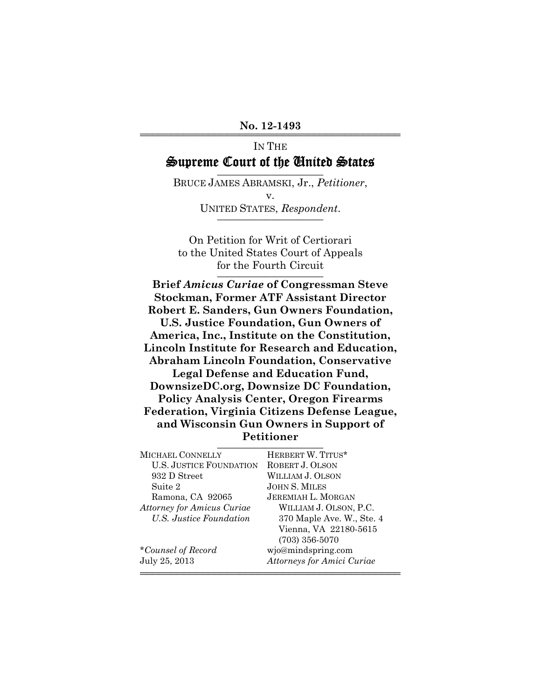# IN THE Supreme Court of the United States

BRUCE JAMES ABRAMSKI, Jr., *Petitioner*, v. UNITED STATES, Respondent.

On Petition for Writ of Certiorari to the United States Court of Appeals for the Fourth Circuit

**Brief** *Amicus Curiae* **of Congressman Steve Stockman, Former ATF Assistant Director Robert E. Sanders, Gun Owners Foundation, U.S. Justice Foundation, Gun Owners of America, Inc., Institute on the Constitution, Lincoln Institute for Research and Education, Abraham Lincoln Foundation, Conservative Legal Defense and Education Fund, DownsizeDC.org, Downsize DC Foundation, Policy Analysis Center, Oregon Firearms Federation, Virginia Citizens Defense League, and Wisconsin Gun Owners in Support of Petitioner** \_\_\_\_\_\_\_\_\_\_\_\_\_\_\_\_\_\_\_\_

| <b>MICHAEL CONNELLY</b>           | HERBERT W. TITUS*                 |
|-----------------------------------|-----------------------------------|
| <b>U.S. JUSTICE FOUNDATION</b>    | ROBERT J. OLSON                   |
| 932 D Street                      | WILLIAM J. OLSON                  |
| Suite 2                           | <b>JOHN S. MILES</b>              |
| Ramona, CA 92065                  | <b>JEREMIAH L. MORGAN</b>         |
| <b>Attorney for Amicus Curiae</b> | WILLIAM J. OLSON, P.C.            |
| U.S. Justice Foundation           | 370 Maple Ave. W., Ste. 4         |
|                                   | Vienna, VA 22180-5615             |
|                                   | $(703)$ 356-5070                  |
| *Counsel of Record                | wjo@mindspring.com                |
| July 25, 2013                     | <b>Attorneys for Amici Curiae</b> |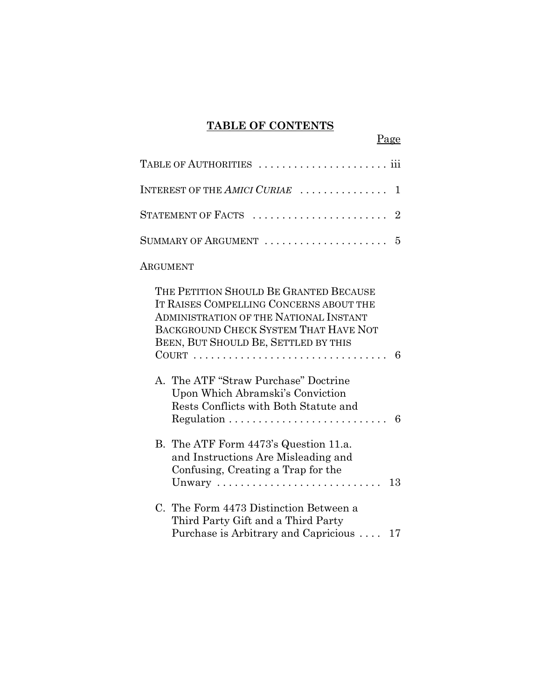## **TABLE OF CONTENTS**

Page

| INTEREST OF THE AMICI CURIAE<br>1                                                                                                                                                                                                                                                                                                                  |
|----------------------------------------------------------------------------------------------------------------------------------------------------------------------------------------------------------------------------------------------------------------------------------------------------------------------------------------------------|
| STATEMENT OF FACTS $\ldots \ldots \ldots \ldots \ldots \ldots \ldots 2$                                                                                                                                                                                                                                                                            |
| SUMMARY OF ARGUMENT<br>5                                                                                                                                                                                                                                                                                                                           |
| ARGUMENT                                                                                                                                                                                                                                                                                                                                           |
| THE PETITION SHOULD BE GRANTED BECAUSE<br>IT RAISES COMPELLING CONCERNS ABOUT THE<br><b>ADMINISTRATION OF THE NATIONAL INSTANT</b><br>BACKGROUND CHECK SYSTEM THAT HAVE NOT<br>BEEN, BUT SHOULD BE, SETTLED BY THIS<br>6<br>A. The ATF "Straw Purchase" Doctrine<br>Upon Which Abramski's Conviction<br>Rests Conflicts with Both Statute and<br>6 |
| B. The ATF Form 4473's Question 11.a.<br>and Instructions Are Misleading and<br>Confusing, Creating a Trap for the<br>13<br>Unwary                                                                                                                                                                                                                 |
| C. The Form 4473 Distinction Between a<br>Third Party Gift and a Third Party<br>Purchase is Arbitrary and Capricious<br>17                                                                                                                                                                                                                         |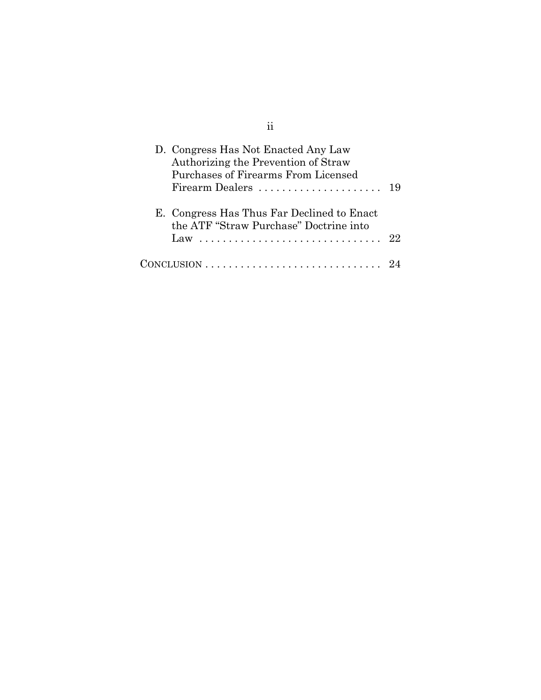| D. Congress Has Not Enacted Any Law<br>Authorizing the Prevention of Straw<br>Purchases of Firearms From Licensed |    |
|-------------------------------------------------------------------------------------------------------------------|----|
| E. Congress Has Thus Far Declined to Enact<br>the ATF "Straw Purchase" Doctrine into<br>Law                       | 22 |
|                                                                                                                   |    |

ii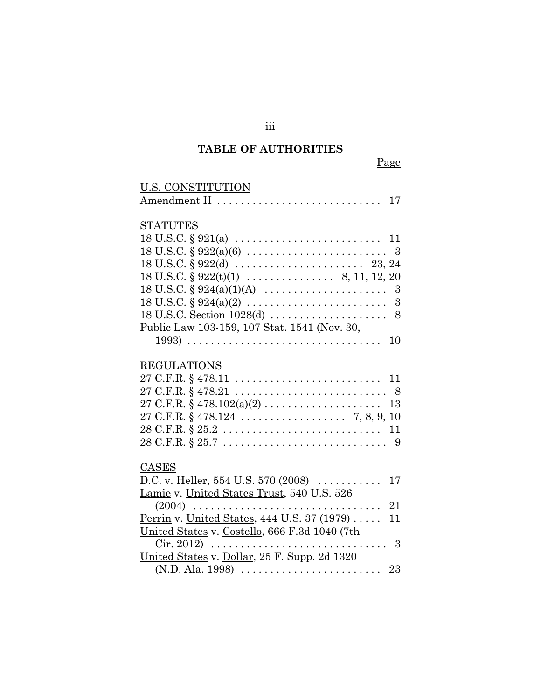# **TABLE OF AUTHORITIES**

| U.S. CONSTITUTION                                                                                    |
|------------------------------------------------------------------------------------------------------|
|                                                                                                      |
|                                                                                                      |
| <b>STATUTES</b>                                                                                      |
| $18 \text{ U.S.C.} \S 921(a) \ldots \ldots \ldots \ldots \ldots \ldots \ldots \ldots 11$             |
| $18 \text{ U.S.C. } § 922(a)(6) \dots \dots \dots \dots \dots \dots \dots \dots \dots \dots \dots 3$ |
|                                                                                                      |
| $18 \text{ U.S.C.} \S 922(t)(1) \dots \dots \dots \dots \dots \quad 8, 11, 12, 20$                   |
| $18 \text{ U.S.C.} \S 924(a)(1)(A) \dots \dots \dots \dots \dots \dots \dots \quad 3$                |
| $18 \text{ U.S.C. } § 924(a)(2) \dots \dots \dots \dots \dots \dots \dots \dots \dots \dots 3$       |
|                                                                                                      |
| Public Law 103-159, 107 Stat. 1541 (Nov. 30,                                                         |
| 10                                                                                                   |
|                                                                                                      |
| <b>REGULATIONS</b>                                                                                   |
|                                                                                                      |
|                                                                                                      |
|                                                                                                      |
|                                                                                                      |
|                                                                                                      |
|                                                                                                      |
|                                                                                                      |
| CASES                                                                                                |
| <u>D.C.</u> v. <u>Heller</u> , 554 U.S. 570 (2008)<br>17                                             |
| Lamie v. United States Trust, 540 U.S. 526                                                           |
| 21                                                                                                   |
| <u>Perrin</u> v. United States, 444 U.S. 37 (1979)<br>11                                             |
| United States v. Costello, 666 F.3d 1040 (7th                                                        |
|                                                                                                      |
| United States v. Dollar, 25 F. Supp. 2d 1320                                                         |
| $(N.D. Ala. 1998) \ldots \ldots \ldots \ldots \ldots \ldots \ldots$<br>23                            |

iii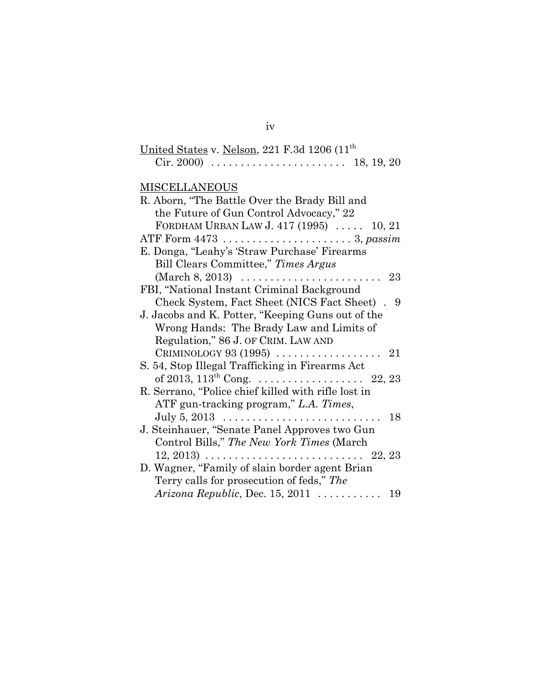# iv

| United States v. Nelson, 221 F.3d 1206 (11 <sup>th</sup> ) |  |            |  |
|------------------------------------------------------------|--|------------|--|
|                                                            |  | 18, 19, 20 |  |

## **MISCELLANEOUS**

| R. Aborn, "The Battle Over the Brady Bill and                                           |
|-----------------------------------------------------------------------------------------|
| the Future of Gun Control Advocacy," 22                                                 |
| FORDHAM URBAN LAW J. 417 (1995)  10, 21                                                 |
| ATF Form 4473 3, passim                                                                 |
| E. Donga, "Leahy's 'Straw Purchase' Firearms                                            |
| Bill Clears Committee," Times Argus                                                     |
| (March 8, 2013) $\ldots \ldots \ldots \ldots \ldots \ldots \ldots 23$                   |
| FBI, "National Instant Criminal Background                                              |
| Check System, Fact Sheet (NICS Fact Sheet). 9                                           |
| J. Jacobs and K. Potter, "Keeping Guns out of the                                       |
| Wrong Hands: The Brady Law and Limits of                                                |
| Regulation," 86 J. OF CRIM. LAW AND                                                     |
|                                                                                         |
| S. 54, Stop Illegal Trafficking in Firearms Act                                         |
|                                                                                         |
| R. Serrano, "Police chief killed with rifle lost in                                     |
| ATF gun-tracking program," L.A. Times,                                                  |
|                                                                                         |
| J. Steinhauer, "Senate Panel Approves two Gun                                           |
| Control Bills," The New York Times (March                                               |
| $12, 2013) \ldots \ldots \ldots \ldots \ldots \ldots \ldots \ldots \ldots \quad 22, 23$ |
| D. Wagner, "Family of slain border agent Brian                                          |
| Terry calls for prosecution of feds," The                                               |
| $Arizona Republic, Dec. 15, 2011 \ldots \ldots \ldots 19$                               |
|                                                                                         |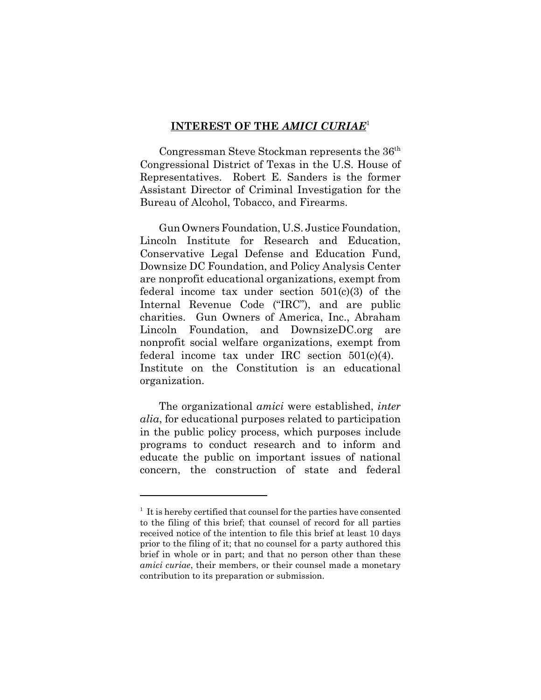### **INTEREST OF THE** *AMICI CURIAE*<sup>1</sup>

Congressman Steve Stockman represents the 36<sup>th</sup> Congressional District of Texas in the U.S. House of Representatives. Robert E. Sanders is the former Assistant Director of Criminal Investigation for the Bureau of Alcohol, Tobacco, and Firearms.

Gun Owners Foundation, U.S. Justice Foundation, Lincoln Institute for Research and Education, Conservative Legal Defense and Education Fund, Downsize DC Foundation, and Policy Analysis Center are nonprofit educational organizations, exempt from federal income tax under section 501(c)(3) of the Internal Revenue Code ("IRC"), and are public charities. Gun Owners of America, Inc., Abraham Lincoln Foundation, and DownsizeDC.org are nonprofit social welfare organizations, exempt from federal income tax under IRC section 501(c)(4). Institute on the Constitution is an educational organization.

The organizational *amici* were established, *inter alia*, for educational purposes related to participation in the public policy process, which purposes include programs to conduct research and to inform and educate the public on important issues of national concern, the construction of state and federal

<sup>&</sup>lt;sup>1</sup> It is hereby certified that counsel for the parties have consented to the filing of this brief; that counsel of record for all parties received notice of the intention to file this brief at least 10 days prior to the filing of it; that no counsel for a party authored this brief in whole or in part; and that no person other than these *amici curiae*, their members, or their counsel made a monetary contribution to its preparation or submission.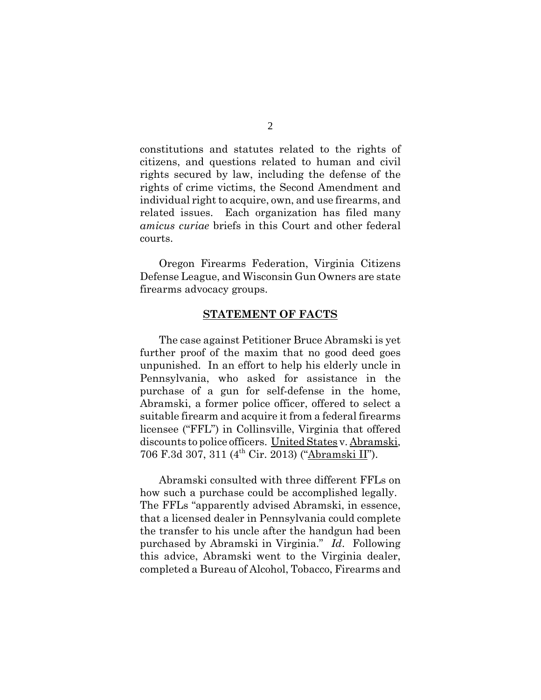constitutions and statutes related to the rights of citizens, and questions related to human and civil rights secured by law, including the defense of the rights of crime victims, the Second Amendment and individual right to acquire, own, and use firearms, and related issues. Each organization has filed many *amicus curiae* briefs in this Court and other federal courts.

Oregon Firearms Federation, Virginia Citizens Defense League, and Wisconsin Gun Owners are state firearms advocacy groups.

#### **STATEMENT OF FACTS**

The case against Petitioner Bruce Abramski is yet further proof of the maxim that no good deed goes unpunished. In an effort to help his elderly uncle in Pennsylvania, who asked for assistance in the purchase of a gun for self-defense in the home, Abramski, a former police officer, offered to select a suitable firearm and acquire it from a federal firearms licensee ("FFL") in Collinsville, Virginia that offered discounts to police officers. United States v. Abramski, 706 F.3d 307, 311 (4th Cir. 2013) ("Abramski II").

Abramski consulted with three different FFLs on how such a purchase could be accomplished legally. The FFLs "apparently advised Abramski, in essence, that a licensed dealer in Pennsylvania could complete the transfer to his uncle after the handgun had been purchased by Abramski in Virginia." *Id*. Following this advice, Abramski went to the Virginia dealer, completed a Bureau of Alcohol, Tobacco, Firearms and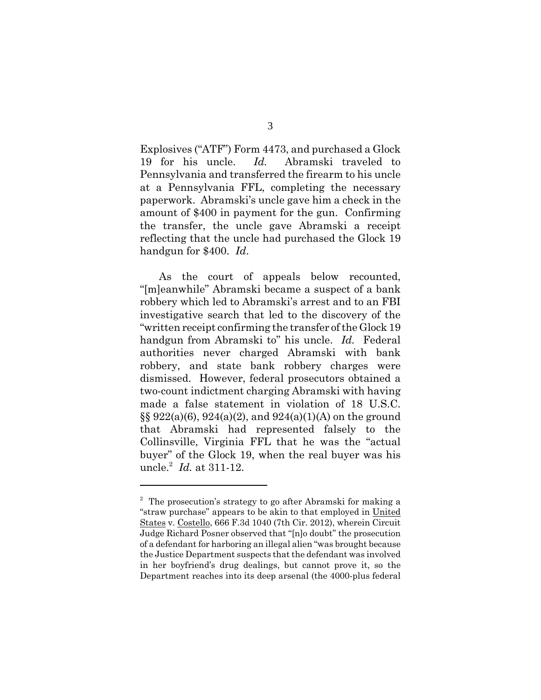Explosives ("ATF") Form 4473, and purchased a Glock 19 for his uncle. *Id.* Abramski traveled to Pennsylvania and transferred the firearm to his uncle at a Pennsylvania FFL, completing the necessary paperwork. Abramski's uncle gave him a check in the amount of \$400 in payment for the gun. Confirming the transfer, the uncle gave Abramski a receipt reflecting that the uncle had purchased the Glock 19 handgun for \$400. *Id*.

As the court of appeals below recounted, "[m]eanwhile" Abramski became a suspect of a bank robbery which led to Abramski's arrest and to an FBI investigative search that led to the discovery of the "written receipt confirming the transfer of the Glock 19 handgun from Abramski to" his uncle. *Id.* Federal authorities never charged Abramski with bank robbery, and state bank robbery charges were dismissed. However, federal prosecutors obtained a two-count indictment charging Abramski with having made a false statement in violation of 18 U.S.C.  $\S\S 922(a)(6), 924(a)(2),$  and  $924(a)(1)(A)$  on the ground that Abramski had represented falsely to the Collinsville, Virginia FFL that he was the "actual buyer" of the Glock 19, when the real buyer was his uncle.<sup>2</sup> *Id.* at 311-12.

<sup>&</sup>lt;sup>2</sup> The prosecution's strategy to go after Abramski for making a "straw purchase" appears to be akin to that employed in United States v. Costello, 666 F.3d 1040 (7th Cir. 2012), wherein Circuit Judge Richard Posner observed that "[n]o doubt" the prosecution of a defendant for harboring an illegal alien "was brought because the Justice Department suspects that the defendant was involved in her boyfriend's drug dealings, but cannot prove it, so the Department reaches into its deep arsenal (the 4000-plus federal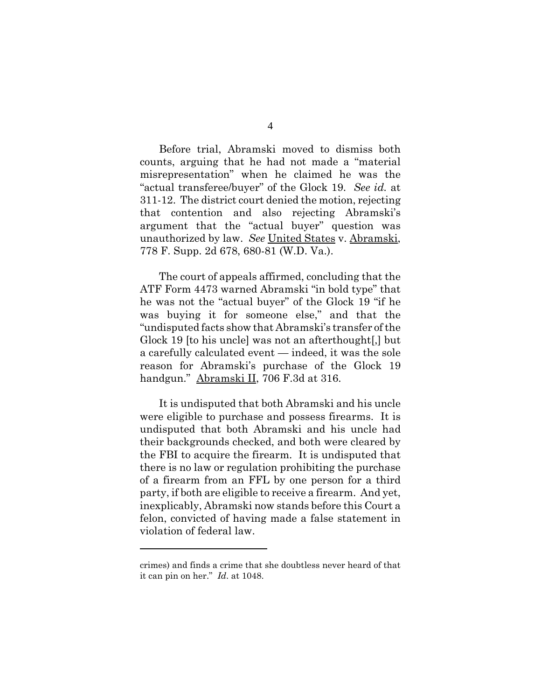Before trial, Abramski moved to dismiss both counts, arguing that he had not made a "material misrepresentation" when he claimed he was the "actual transferee/buyer" of the Glock 19. *See id.* at 311-12. The district court denied the motion, rejecting that contention and also rejecting Abramski's argument that the "actual buyer" question was unauthorized by law. *See* United States v. Abramski, 778 F. Supp. 2d 678, 680-81 (W.D. Va.).

The court of appeals affirmed, concluding that the ATF Form 4473 warned Abramski "in bold type" that he was not the "actual buyer" of the Glock 19 "if he was buying it for someone else," and that the "undisputed facts show that Abramski's transfer of the Glock 19 [to his uncle] was not an afterthought[,] but a carefully calculated event — indeed, it was the sole reason for Abramski's purchase of the Glock 19 handgun." Abramski II, 706 F.3d at 316.

It is undisputed that both Abramski and his uncle were eligible to purchase and possess firearms. It is undisputed that both Abramski and his uncle had their backgrounds checked, and both were cleared by the FBI to acquire the firearm. It is undisputed that there is no law or regulation prohibiting the purchase of a firearm from an FFL by one person for a third party, if both are eligible to receive a firearm. And yet, inexplicably, Abramski now stands before this Court a felon, convicted of having made a false statement in violation of federal law.

crimes) and finds a crime that she doubtless never heard of that it can pin on her." *Id*. at 1048.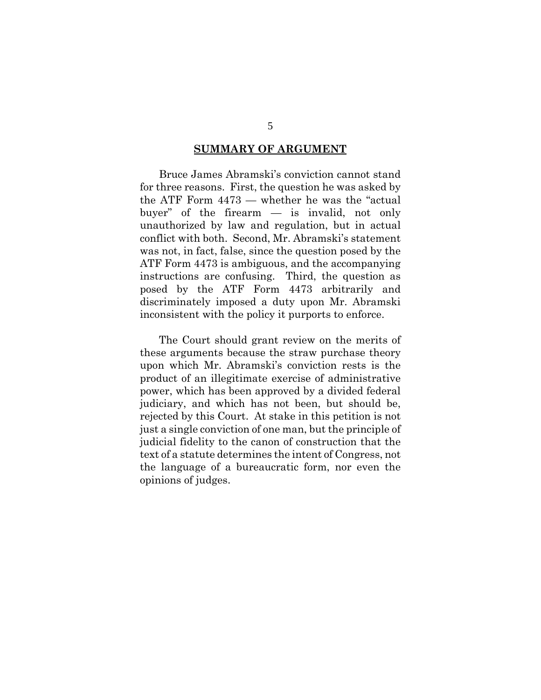#### **SUMMARY OF ARGUMENT**

Bruce James Abramski's conviction cannot stand for three reasons. First, the question he was asked by the ATF Form 4473 — whether he was the "actual buyer" of the firearm — is invalid, not only unauthorized by law and regulation, but in actual conflict with both. Second, Mr. Abramski's statement was not, in fact, false, since the question posed by the ATF Form 4473 is ambiguous, and the accompanying instructions are confusing. Third, the question as posed by the ATF Form 4473 arbitrarily and discriminately imposed a duty upon Mr. Abramski inconsistent with the policy it purports to enforce.

The Court should grant review on the merits of these arguments because the straw purchase theory upon which Mr. Abramski's conviction rests is the product of an illegitimate exercise of administrative power, which has been approved by a divided federal judiciary, and which has not been, but should be, rejected by this Court. At stake in this petition is not just a single conviction of one man, but the principle of judicial fidelity to the canon of construction that the text of a statute determines the intent of Congress, not the language of a bureaucratic form, nor even the opinions of judges.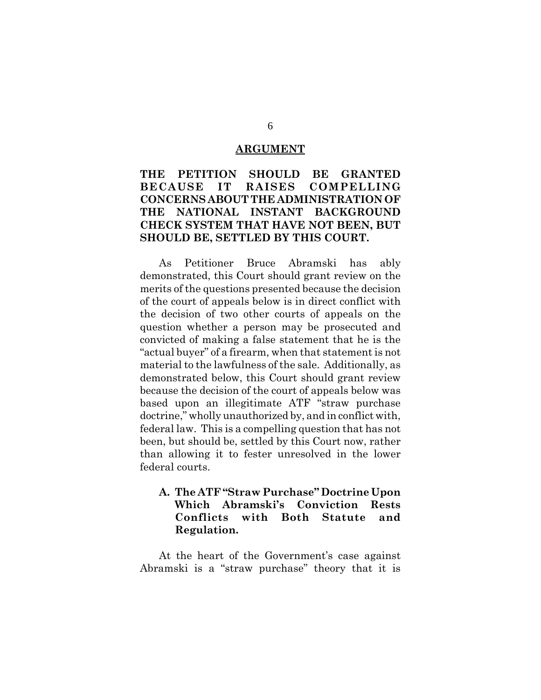#### **ARGUMENT**

## **THE PETITION SHOULD BE GRANTED BECAUSE IT RAISES COMPELLING CONCERNS ABOUT THE ADMINISTRATION OF THE NATIONAL INSTANT BACKGROUND CHECK SYSTEM THAT HAVE NOT BEEN, BUT SHOULD BE, SETTLED BY THIS COURT.**

As Petitioner Bruce Abramski has ably demonstrated, this Court should grant review on the merits of the questions presented because the decision of the court of appeals below is in direct conflict with the decision of two other courts of appeals on the question whether a person may be prosecuted and convicted of making a false statement that he is the "actual buyer" of a firearm, when that statement is not material to the lawfulness of the sale. Additionally, as demonstrated below, this Court should grant review because the decision of the court of appeals below was based upon an illegitimate ATF "straw purchase doctrine," wholly unauthorized by, and in conflict with, federal law. This is a compelling question that has not been, but should be, settled by this Court now, rather than allowing it to fester unresolved in the lower federal courts.

## **A. The ATF "Straw Purchase" Doctrine Upon Which Abramski's Conviction Rests Conflicts with Both Statute and Regulation.**

At the heart of the Government's case against Abramski is a "straw purchase" theory that it is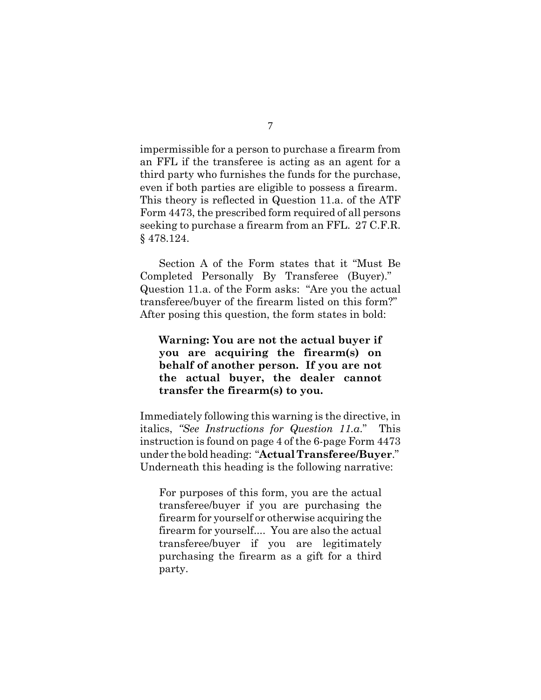impermissible for a person to purchase a firearm from an FFL if the transferee is acting as an agent for a third party who furnishes the funds for the purchase, even if both parties are eligible to possess a firearm. This theory is reflected in Question 11.a. of the ATF Form 4473, the prescribed form required of all persons seeking to purchase a firearm from an FFL. 27 C.F.R. § 478.124.

Section A of the Form states that it "Must Be Completed Personally By Transferee (Buyer)." Question 11.a. of the Form asks: "Are you the actual transferee/buyer of the firearm listed on this form?" After posing this question, the form states in bold:

**Warning: You are not the actual buyer if you are acquiring the firearm(s) on behalf of another person. If you are not the actual buyer, the dealer cannot transfer the firearm(s) to you.**

Immediately following this warning is the directive, in italics, *"See Instructions for Question 11.a*." This instruction is found on page 4 of the 6-page Form 4473 under the bold heading: "**Actual Transferee/Buyer**." Underneath this heading is the following narrative:

For purposes of this form, you are the actual transferee/buyer if you are purchasing the firearm for yourself or otherwise acquiring the firearm for yourself.... You are also the actual transferee/buyer if you are legitimately purchasing the firearm as a gift for a third party.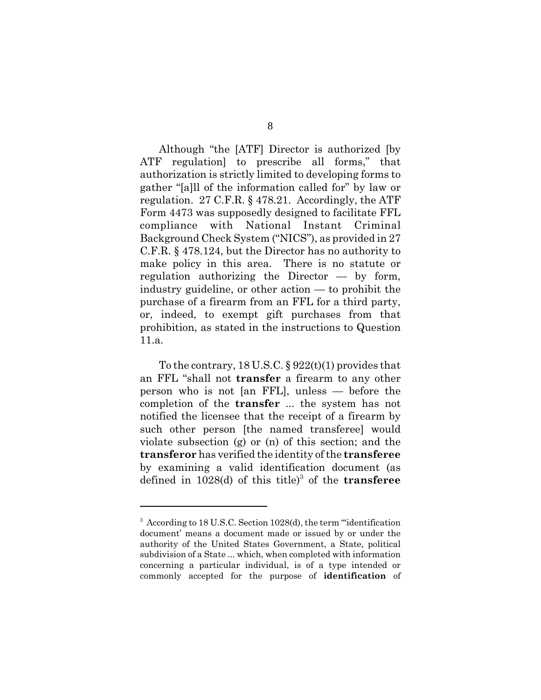Although "the [ATF] Director is authorized [by ATF regulation] to prescribe all forms," that authorization is strictly limited to developing forms to gather "[a]ll of the information called for" by law or regulation. 27 C.F.R. § 478.21. Accordingly, the ATF Form 4473 was supposedly designed to facilitate FFL compliance with National Instant Criminal Background Check System ("NICS"), as provided in 27 C.F.R. § 478.124, but the Director has no authority to make policy in this area. There is no statute or regulation authorizing the Director — by form, industry guideline, or other action — to prohibit the purchase of a firearm from an FFL for a third party, or, indeed, to exempt gift purchases from that prohibition, as stated in the instructions to Question 11.a.

To the contrary,  $18 \text{ U.S. C. }$  §  $922(t)(1)$  provides that an FFL "shall not **transfer** a firearm to any other person who is not [an FFL], unless — before the completion of the **transfer** ... the system has not notified the licensee that the receipt of a firearm by such other person [the named transferee] would violate subsection (g) or (n) of this section; and the **transferor** has verified the identity of the **transferee** by examining a valid identification document (as defined in 1028(d) of this title)<sup>3</sup> of the **transferee** 

<sup>&</sup>lt;sup>3</sup> According to 18 U.S.C. Section 1028(d), the term "identification document' means a document made or issued by or under the authority of the United States Government, a State, political subdivision of a State ... which, when completed with information concerning a particular individual, is of a type intended or commonly accepted for the purpose of **identification** of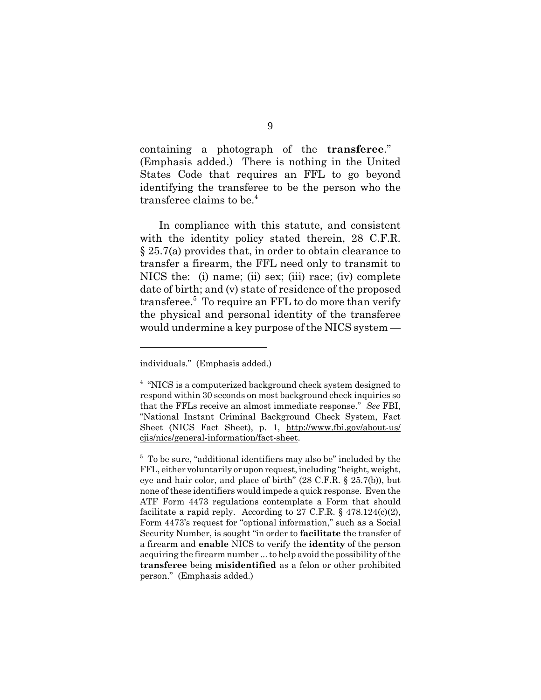containing a photograph of the **transferee**." (Emphasis added.) There is nothing in the United States Code that requires an FFL to go beyond identifying the transferee to be the person who the transferee claims to be.<sup>4</sup>

In compliance with this statute, and consistent with the identity policy stated therein, 28 C.F.R. § 25.7(a) provides that, in order to obtain clearance to transfer a firearm, the FFL need only to transmit to NICS the: (i) name; (ii) sex; (iii) race; (iv) complete date of birth; and (v) state of residence of the proposed transferee.<sup>5</sup> To require an FFL to do more than verify the physical and personal identity of the transferee would undermine a key purpose of the NICS system —

individuals." (Emphasis added.)

<sup>&</sup>lt;sup>4</sup> "NICS is a computerized background check system designed to respond within 30 seconds on most background check inquiries so that the FFLs receive an almost immediate response." *See* FBI, "National Instant Criminal Background Check System, Fact Sheet (NICS Fact Sheet), p. 1, http://www.fbi.gov/about-us/ cjis/nics/general-information/fact-sheet.

<sup>&</sup>lt;sup>5</sup> To be sure, "additional identifiers may also be" included by the FFL, either voluntarily or upon request, including "height, weight, eye and hair color, and place of birth" (28 C.F.R. § 25.7(b)), but none of these identifiers would impede a quick response. Even the ATF Form 4473 regulations contemplate a Form that should facilitate a rapid reply. According to 27 C.F.R.  $\S$  478.124(c)(2), Form 4473's request for "optional information," such as a Social Security Number, is sought "in order to **facilitate** the transfer of a firearm and **enable** NICS to verify the **identity** of the person acquiring the firearm number ... to help avoid the possibility of the **transferee** being **misidentified** as a felon or other prohibited person." (Emphasis added.)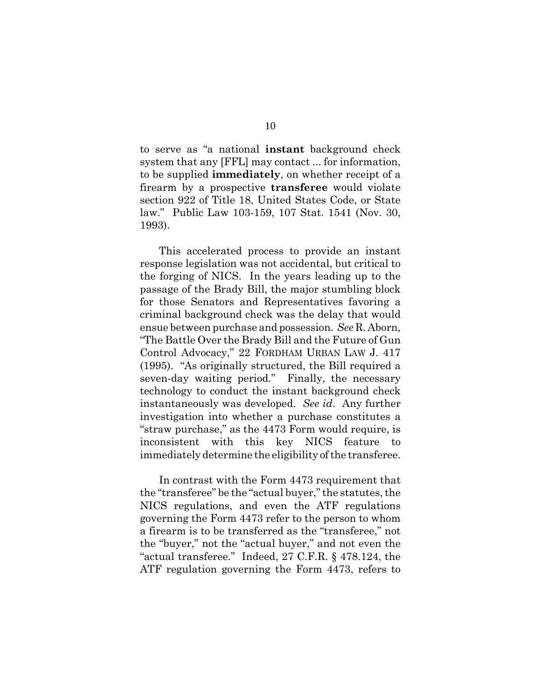to serve as "a national **instant** background check system that any [FFL] may contact ... for information, to be supplied **immediately**, on whether receipt of a firearm by a prospective **transferee** would violate section 922 of Title 18, United States Code, or State law." Public Law 103-159, 107 Stat. 1541 (Nov. 30, 1993).

This accelerated process to provide an instant response legislation was not accidental, but critical to the forging of NICS. In the years leading up to the passage of the Brady Bill, the major stumbling block for those Senators and Representatives favoring a criminal background check was the delay that would ensue between purchase and possession. *See* R. Aborn, "The Battle Over the Brady Bill and the Future of Gun Control Advocacy," 22 FORDHAM URBAN LAW J. 417 (1995). "As originally structured, the Bill required a seven-day waiting period." Finally, the necessary technology to conduct the instant background check instantaneously was developed. *See id*. Any further investigation into whether a purchase constitutes a "straw purchase," as the 4473 Form would require, is inconsistent with this key NICS feature to immediately determine the eligibility of the transferee.

In contrast with the Form 4473 requirement that the "transferee" be the "actual buyer," the statutes, the NICS regulations, and even the ATF regulations governing the Form 4473 refer to the person to whom a firearm is to be transferred as the "transferee," not the "buyer," not the "actual buyer," and not even the "actual transferee." Indeed, 27 C.F.R. § 478.124, the ATF regulation governing the Form 4473, refers to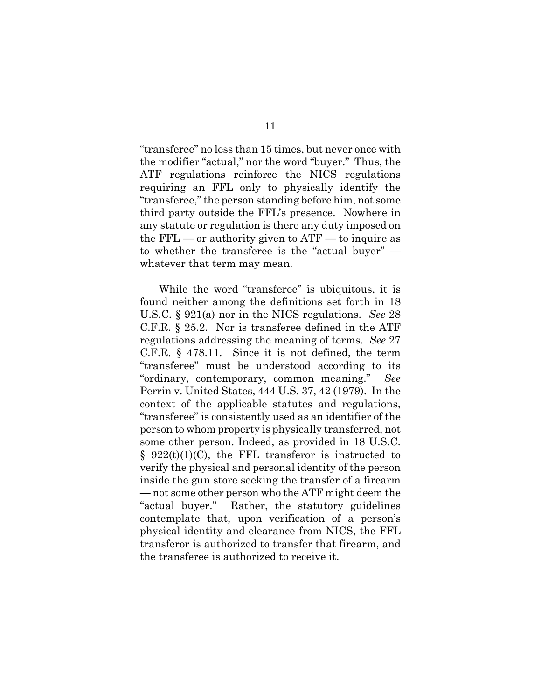"transferee" no less than 15 times, but never once with the modifier "actual," nor the word "buyer." Thus, the ATF regulations reinforce the NICS regulations requiring an FFL only to physically identify the "transferee," the person standing before him, not some third party outside the FFL's presence. Nowhere in any statute or regulation is there any duty imposed on the  $\text{FFL}$  — or authority given to  $\text{ATF}$  — to inquire as to whether the transferee is the "actual buyer" whatever that term may mean.

While the word "transferee" is ubiquitous, it is found neither among the definitions set forth in 18 U.S.C. § 921(a) nor in the NICS regulations. *See* 28 C.F.R. § 25.2. Nor is transferee defined in the ATF regulations addressing the meaning of terms. *See* 27 C.F.R. § 478.11. Since it is not defined, the term "transferee" must be understood according to its "ordinary, contemporary, common meaning." *See* Perrin v. United States, 444 U.S. 37, 42 (1979). In the context of the applicable statutes and regulations, "transferee" is consistently used as an identifier of the person to whom property is physically transferred, not some other person. Indeed, as provided in 18 U.S.C.  $§$  922(t)(1)(C), the FFL transferor is instructed to verify the physical and personal identity of the person inside the gun store seeking the transfer of a firearm — not some other person who the ATF might deem the "actual buyer." Rather, the statutory guidelines contemplate that, upon verification of a person's physical identity and clearance from NICS, the FFL transferor is authorized to transfer that firearm, and the transferee is authorized to receive it.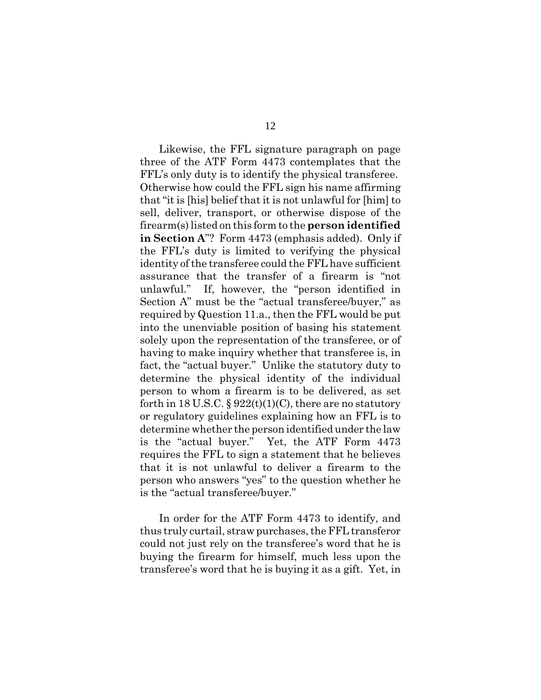Likewise, the FFL signature paragraph on page three of the ATF Form 4473 contemplates that the FFL's only duty is to identify the physical transferee. Otherwise how could the FFL sign his name affirming that "it is [his] belief that it is not unlawful for [him] to sell, deliver, transport, or otherwise dispose of the firearm(s) listed on this form to the **person identified in Section A**"? Form 4473 (emphasis added). Only if the FFL's duty is limited to verifying the physical identity of the transferee could the FFL have sufficient assurance that the transfer of a firearm is "not unlawful." If, however, the "person identified in Section A" must be the "actual transferee/buyer," as required by Question 11.a., then the FFL would be put into the unenviable position of basing his statement solely upon the representation of the transferee, or of having to make inquiry whether that transferee is, in fact, the "actual buyer." Unlike the statutory duty to determine the physical identity of the individual person to whom a firearm is to be delivered, as set forth in 18 U.S.C. §  $922(t)(1)(C)$ , there are no statutory or regulatory guidelines explaining how an FFL is to determine whether the person identified under the law is the "actual buyer." Yet, the ATF Form 4473 requires the FFL to sign a statement that he believes that it is not unlawful to deliver a firearm to the person who answers "yes" to the question whether he is the "actual transferee/buyer."

In order for the ATF Form 4473 to identify, and thus truly curtail, straw purchases, the FFL transferor could not just rely on the transferee's word that he is buying the firearm for himself, much less upon the transferee's word that he is buying it as a gift. Yet, in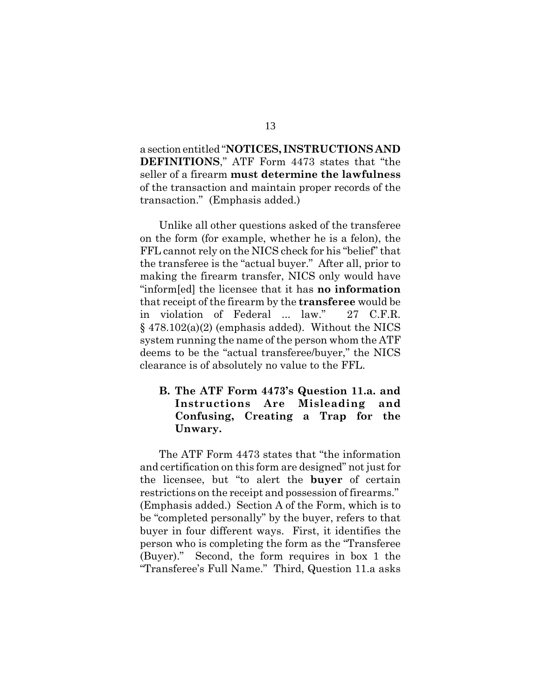a section entitled "**NOTICES, INSTRUCTIONS AND DEFINITIONS**," ATF Form 4473 states that "the seller of a firearm **must determine the lawfulness** of the transaction and maintain proper records of the transaction." (Emphasis added.)

Unlike all other questions asked of the transferee on the form (for example, whether he is a felon), the FFL cannot rely on the NICS check for his "belief" that the transferee is the "actual buyer." After all, prior to making the firearm transfer, NICS only would have "inform[ed] the licensee that it has **no information** that receipt of the firearm by the **transferee** would be in violation of Federal ... law." 27 C.F.R. § 478.102(a)(2) (emphasis added). Without the NICS system running the name of the person whom the ATF deems to be the "actual transferee/buyer," the NICS clearance is of absolutely no value to the FFL.

## **B. The ATF Form 4473's Question 11.a. and Instructions Are Misleading and Confusing, Creating a Trap for the Unwary.**

The ATF Form 4473 states that "the information and certification on this form are designed" not just for the licensee, but "to alert the **buyer** of certain restrictions on the receipt and possession of firearms." (Emphasis added.) Section A of the Form, which is to be "completed personally" by the buyer, refers to that buyer in four different ways. First, it identifies the person who is completing the form as the "Transferee (Buyer)." Second, the form requires in box 1 the "Transferee's Full Name." Third, Question 11.a asks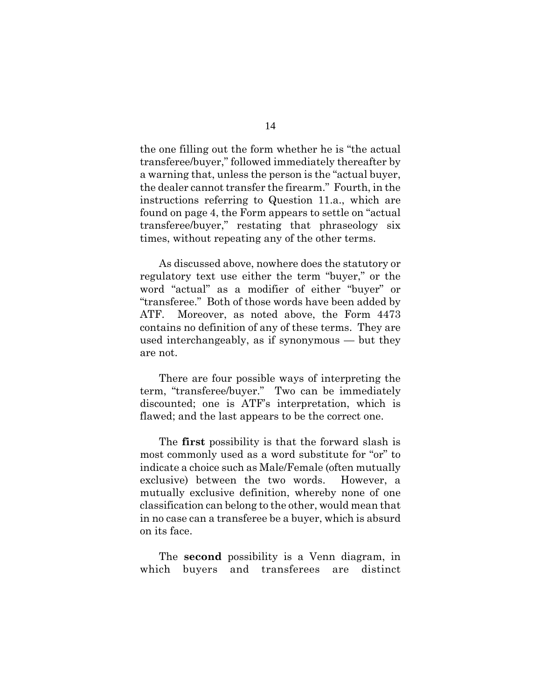the one filling out the form whether he is "the actual transferee/buyer," followed immediately thereafter by a warning that, unless the person is the "actual buyer, the dealer cannot transfer the firearm." Fourth, in the instructions referring to Question 11.a., which are found on page 4, the Form appears to settle on "actual transferee/buyer," restating that phraseology six times, without repeating any of the other terms.

As discussed above, nowhere does the statutory or regulatory text use either the term "buyer," or the word "actual" as a modifier of either "buyer" or "transferee." Both of those words have been added by ATF. Moreover, as noted above, the Form 4473 contains no definition of any of these terms. They are used interchangeably, as if synonymous — but they are not.

There are four possible ways of interpreting the term, "transferee/buyer." Two can be immediately discounted; one is ATF's interpretation, which is flawed; and the last appears to be the correct one.

The **first** possibility is that the forward slash is most commonly used as a word substitute for "or" to indicate a choice such as Male/Female (often mutually exclusive) between the two words. However, a mutually exclusive definition, whereby none of one classification can belong to the other, would mean that in no case can a transferee be a buyer, which is absurd on its face.

The **second** possibility is a Venn diagram, in which buyers and transferees are distinct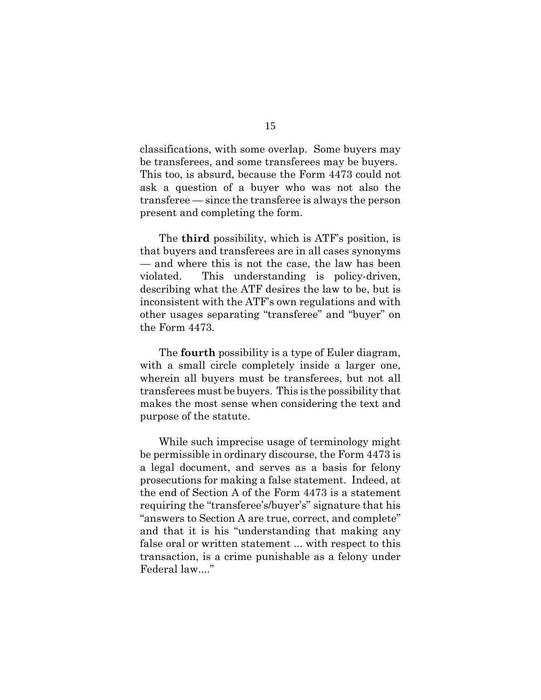classifications, with some overlap. Some buyers may be transferees, and some transferees may be buyers. This too, is absurd, because the Form 4473 could not ask a question of a buyer who was not also the transferee — since the transferee is always the person present and completing the form.

The **third** possibility, which is ATF's position, is that buyers and transferees are in all cases synonyms — and where this is not the case, the law has been violated. This understanding is policy-driven, describing what the ATF desires the law to be, but is inconsistent with the ATF's own regulations and with other usages separating "transferee" and "buyer" on the Form 4473.

The **fourth** possibility is a type of Euler diagram, with a small circle completely inside a larger one, wherein all buyers must be transferees, but not all transferees must be buyers. This is the possibility that makes the most sense when considering the text and purpose of the statute.

While such imprecise usage of terminology might be permissible in ordinary discourse, the Form 4473 is a legal document, and serves as a basis for felony prosecutions for making a false statement. Indeed, at the end of Section A of the Form 4473 is a statement requiring the "transferee's/buyer's" signature that his "answers to Section A are true, correct, and complete" and that it is his "understanding that making any false oral or written statement ... with respect to this transaction, is a crime punishable as a felony under Federal law...."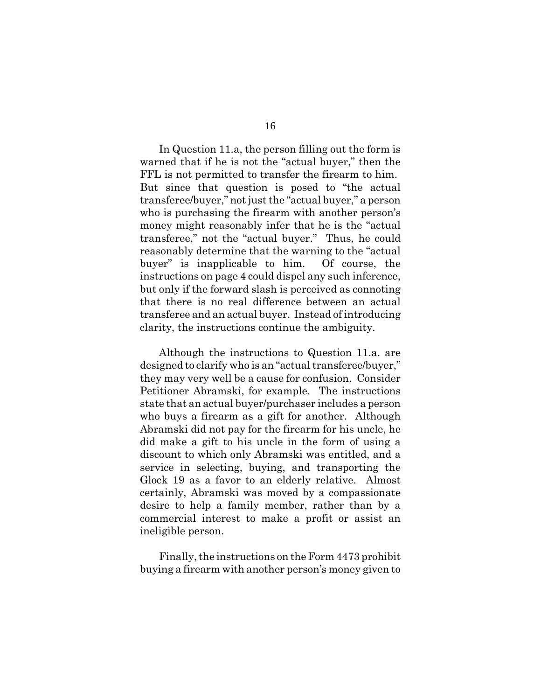In Question 11.a, the person filling out the form is warned that if he is not the "actual buyer," then the FFL is not permitted to transfer the firearm to him. But since that question is posed to "the actual transferee/buyer," not just the "actual buyer," a person who is purchasing the firearm with another person's money might reasonably infer that he is the "actual transferee," not the "actual buyer." Thus, he could reasonably determine that the warning to the "actual buyer" is inapplicable to him. Of course, the instructions on page 4 could dispel any such inference, but only if the forward slash is perceived as connoting that there is no real difference between an actual transferee and an actual buyer. Instead of introducing clarity, the instructions continue the ambiguity.

Although the instructions to Question 11.a. are designed to clarify who is an "actual transferee/buyer," they may very well be a cause for confusion. Consider Petitioner Abramski, for example. The instructions state that an actual buyer/purchaser includes a person who buys a firearm as a gift for another. Although Abramski did not pay for the firearm for his uncle, he did make a gift to his uncle in the form of using a discount to which only Abramski was entitled, and a service in selecting, buying, and transporting the Glock 19 as a favor to an elderly relative. Almost certainly, Abramski was moved by a compassionate desire to help a family member, rather than by a commercial interest to make a profit or assist an ineligible person.

Finally, the instructions on the Form 4473 prohibit buying a firearm with another person's money given to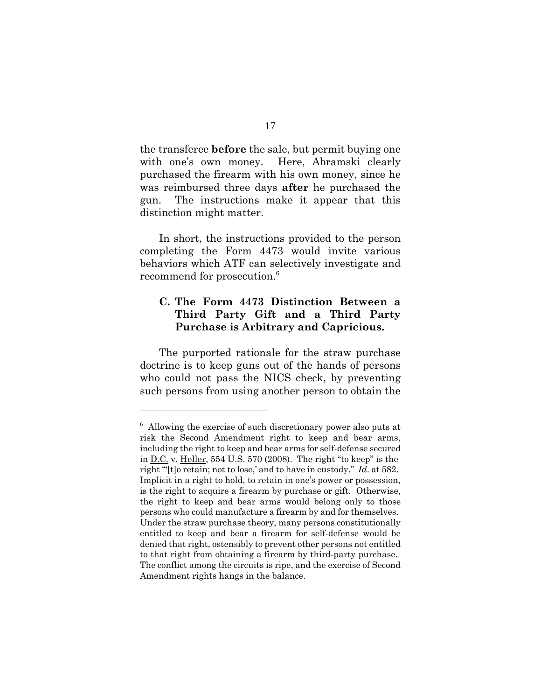the transferee **before** the sale, but permit buying one with one's own money. Here, Abramski clearly purchased the firearm with his own money, since he was reimbursed three days **after** he purchased the gun. The instructions make it appear that this distinction might matter.

In short, the instructions provided to the person completing the Form 4473 would invite various behaviors which ATF can selectively investigate and recommend for prosecution.<sup>6</sup>

## **C. The Form 4473 Distinction Between a Third Party Gift and a Third Party Purchase is Arbitrary and Capricious.**

The purported rationale for the straw purchase doctrine is to keep guns out of the hands of persons who could not pass the NICS check, by preventing such persons from using another person to obtain the

<sup>&</sup>lt;sup>6</sup> Allowing the exercise of such discretionary power also puts at risk the Second Amendment right to keep and bear arms, including the right to keep and bear arms for self-defense secured in D.C. v. Heller, 554 U.S. 570 (2008). The right "to keep" is the right "'[t]o retain; not to lose,' and to have in custody." *Id*. at 582. Implicit in a right to hold, to retain in one's power or possession, is the right to acquire a firearm by purchase or gift. Otherwise, the right to keep and bear arms would belong only to those persons who could manufacture a firearm by and for themselves. Under the straw purchase theory, many persons constitutionally entitled to keep and bear a firearm for self-defense would be denied that right, ostensibly to prevent other persons not entitled to that right from obtaining a firearm by third-party purchase. The conflict among the circuits is ripe, and the exercise of Second Amendment rights hangs in the balance.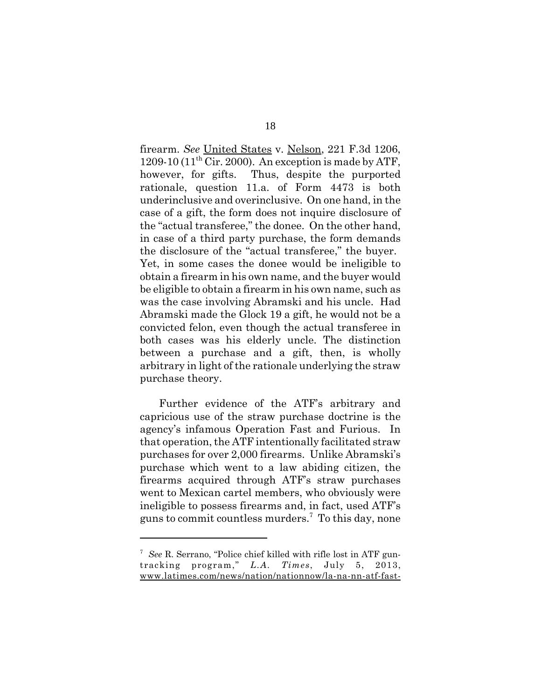firearm. *See* United States v. Nelson, 221 F.3d 1206, 1209-10 (11<sup>th</sup> Cir. 2000). An exception is made by ATF, however, for gifts. Thus, despite the purported rationale, question 11.a. of Form 4473 is both underinclusive and overinclusive. On one hand, in the case of a gift, the form does not inquire disclosure of the "actual transferee," the donee. On the other hand, in case of a third party purchase, the form demands the disclosure of the "actual transferee," the buyer. Yet, in some cases the donee would be ineligible to obtain a firearm in his own name, and the buyer would be eligible to obtain a firearm in his own name, such as was the case involving Abramski and his uncle. Had Abramski made the Glock 19 a gift, he would not be a convicted felon, even though the actual transferee in both cases was his elderly uncle. The distinction between a purchase and a gift, then, is wholly arbitrary in light of the rationale underlying the straw purchase theory.

Further evidence of the ATF's arbitrary and capricious use of the straw purchase doctrine is the agency's infamous Operation Fast and Furious. In that operation, the ATF intentionally facilitated straw purchases for over 2,000 firearms. Unlike Abramski's purchase which went to a law abiding citizen, the firearms acquired through ATF's straw purchases went to Mexican cartel members, who obviously were ineligible to possess firearms and, in fact, used ATF's guns to commit countless murders.7 To this day, none

<sup>7</sup> *See* R. Serrano, "Police chief killed with rifle lost in ATF guntracking program," *L.A. Times*, July 5, 2013, www.latimes.com/news/nation/nationnow/la-na-nn-atf-fast-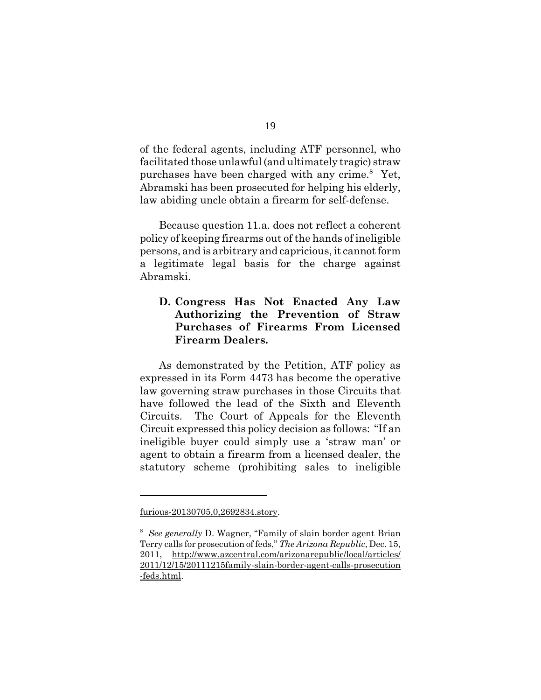of the federal agents, including ATF personnel, who facilitated those unlawful (and ultimately tragic) straw purchases have been charged with any crime.<sup>8</sup> Yet, Abramski has been prosecuted for helping his elderly, law abiding uncle obtain a firearm for self-defense.

Because question 11.a. does not reflect a coherent policy of keeping firearms out of the hands of ineligible persons, and is arbitrary and capricious, it cannot form a legitimate legal basis for the charge against Abramski.

## **D. Congress Has Not Enacted Any Law Authorizing the Prevention of Straw Purchases of Firearms From Licensed Firearm Dealers.**

As demonstrated by the Petition, ATF policy as expressed in its Form 4473 has become the operative law governing straw purchases in those Circuits that have followed the lead of the Sixth and Eleventh Circuits. The Court of Appeals for the Eleventh Circuit expressed this policy decision as follows: "If an ineligible buyer could simply use a 'straw man' or agent to obtain a firearm from a licensed dealer, the statutory scheme (prohibiting sales to ineligible

furious-20130705,0,2692834.story.

<sup>8</sup> *See generally* D. Wagner, "Family of slain border agent Brian Terry calls for prosecution of feds," *The Arizona Republic*, Dec. 15, 2011, http://www.azcentral.com/arizonarepublic/local/articles/ 2011/12/15/20111215family-slain-border-agent-calls-prosecution -feds.html.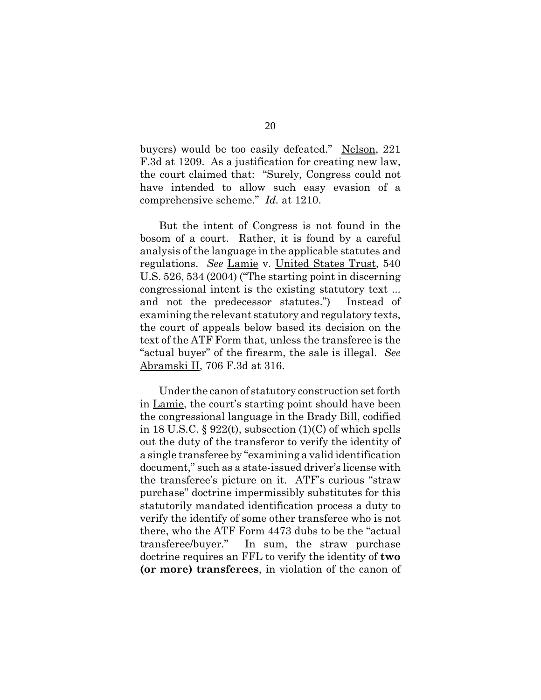buyers) would be too easily defeated." Nelson, 221 F.3d at 1209. As a justification for creating new law, the court claimed that: "Surely, Congress could not have intended to allow such easy evasion of a comprehensive scheme." *Id.* at 1210.

But the intent of Congress is not found in the bosom of a court. Rather, it is found by a careful analysis of the language in the applicable statutes and regulations. *See* Lamie v. United States Trust, 540 U.S. 526, 534 (2004) ("The starting point in discerning congressional intent is the existing statutory text ... and not the predecessor statutes.") Instead of examining the relevant statutory and regulatory texts, the court of appeals below based its decision on the text of the ATF Form that, unless the transferee is the "actual buyer" of the firearm, the sale is illegal. *See* Abramski II, 706 F.3d at 316.

Under the canon of statutory construction set forth in Lamie, the court's starting point should have been the congressional language in the Brady Bill, codified in 18 U.S.C.  $\S 922(t)$ , subsection (1)(C) of which spells out the duty of the transferor to verify the identity of a single transferee by "examining a valid identification document," such as a state-issued driver's license with the transferee's picture on it. ATF's curious "straw purchase" doctrine impermissibly substitutes for this statutorily mandated identification process a duty to verify the identify of some other transferee who is not there, who the ATF Form 4473 dubs to be the "actual transferee/buyer." In sum, the straw purchase doctrine requires an FFL to verify the identity of **two (or more) transferees**, in violation of the canon of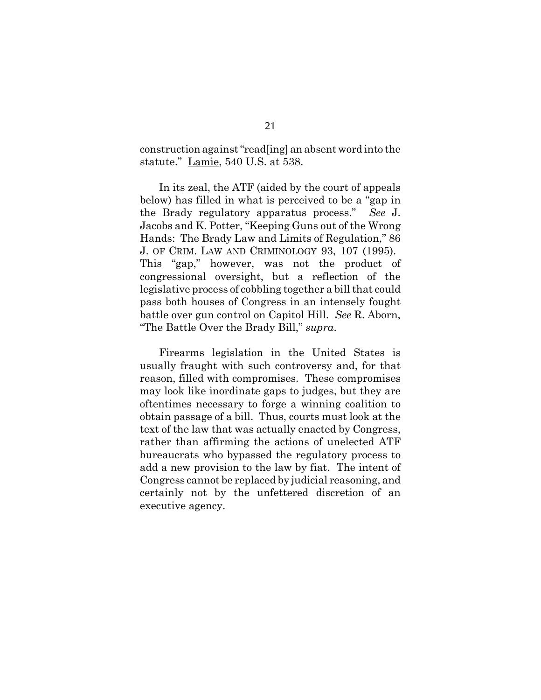construction against "read[ing] an absent word into the statute." Lamie, 540 U.S. at 538.

In its zeal, the ATF (aided by the court of appeals below) has filled in what is perceived to be a "gap in the Brady regulatory apparatus process." *See* J. Jacobs and K. Potter, "Keeping Guns out of the Wrong Hands: The Brady Law and Limits of Regulation," 86 J. OF CRIM. LAW AND CRIMINOLOGY 93, 107 (1995). This "gap," however, was not the product of congressional oversight, but a reflection of the legislative process of cobbling together a bill that could pass both houses of Congress in an intensely fought battle over gun control on Capitol Hill. *See* R. Aborn, "The Battle Over the Brady Bill," *supra*.

Firearms legislation in the United States is usually fraught with such controversy and, for that reason, filled with compromises. These compromises may look like inordinate gaps to judges, but they are oftentimes necessary to forge a winning coalition to obtain passage of a bill. Thus, courts must look at the text of the law that was actually enacted by Congress, rather than affirming the actions of unelected ATF bureaucrats who bypassed the regulatory process to add a new provision to the law by fiat. The intent of Congress cannot be replaced by judicial reasoning, and certainly not by the unfettered discretion of an executive agency.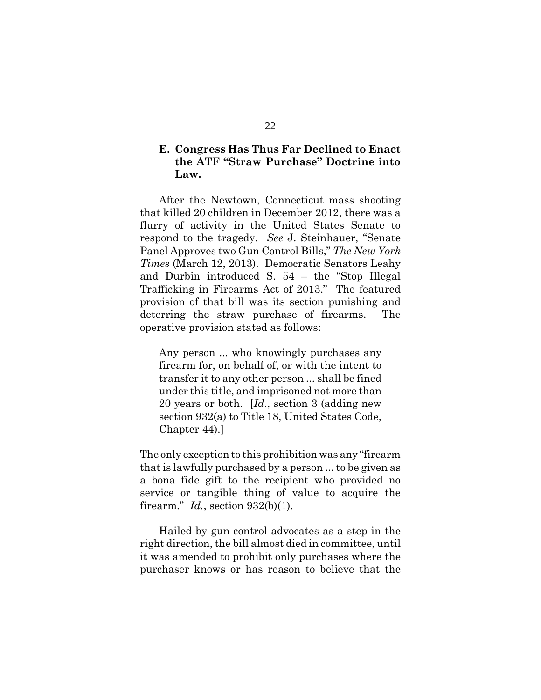## **E. Congress Has Thus Far Declined to Enact the ATF "Straw Purchase" Doctrine into Law.**

After the Newtown, Connecticut mass shooting that killed 20 children in December 2012, there was a flurry of activity in the United States Senate to respond to the tragedy. *See* J. Steinhauer, "Senate Panel Approves two Gun Control Bills," *The New York Times* (March 12, 2013). Democratic Senators Leahy and Durbin introduced S. 54 – the "Stop Illegal Trafficking in Firearms Act of 2013." The featured provision of that bill was its section punishing and deterring the straw purchase of firearms. The operative provision stated as follows:

Any person ... who knowingly purchases any firearm for, on behalf of, or with the intent to transfer it to any other person ... shall be fined under this title, and imprisoned not more than 20 years or both. [*Id*., section 3 (adding new section 932(a) to Title 18, United States Code, Chapter 44).]

The only exception to this prohibition was any "firearm that is lawfully purchased by a person ... to be given as a bona fide gift to the recipient who provided no service or tangible thing of value to acquire the firearm." *Id.*, section 932(b)(1).

Hailed by gun control advocates as a step in the right direction, the bill almost died in committee, until it was amended to prohibit only purchases where the purchaser knows or has reason to believe that the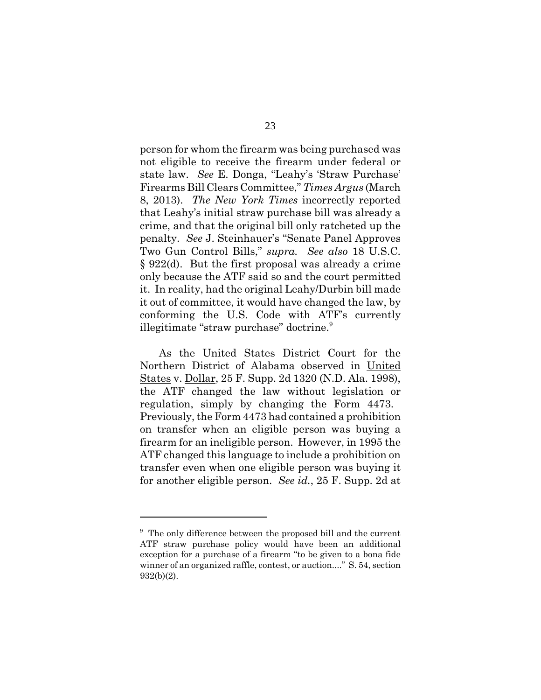person for whom the firearm was being purchased was not eligible to receive the firearm under federal or state law. *See* E. Donga, "Leahy's 'Straw Purchase' Firearms Bill Clears Committee," *Times Argus* (March 8, 2013). *The New York Times* incorrectly reported that Leahy's initial straw purchase bill was already a crime, and that the original bill only ratcheted up the penalty. *See* J. Steinhauer's "Senate Panel Approves Two Gun Control Bills," *supra. See also* 18 U.S.C. § 922(d). But the first proposal was already a crime only because the ATF said so and the court permitted it. In reality, had the original Leahy/Durbin bill made it out of committee, it would have changed the law, by conforming the U.S. Code with ATF's currently illegitimate "straw purchase" doctrine.<sup>9</sup>

As the United States District Court for the Northern District of Alabama observed in United States v. Dollar, 25 F. Supp. 2d 1320 (N.D. Ala. 1998), the ATF changed the law without legislation or regulation, simply by changing the Form 4473. Previously, the Form 4473 had contained a prohibition on transfer when an eligible person was buying a firearm for an ineligible person. However, in 1995 the ATF changed this language to include a prohibition on transfer even when one eligible person was buying it for another eligible person. *See id.*, 25 F. Supp. 2d at

<sup>&</sup>lt;sup>9</sup> The only difference between the proposed bill and the current ATF straw purchase policy would have been an additional exception for a purchase of a firearm "to be given to a bona fide winner of an organized raffle, contest, or auction...." S. 54, section 932(b)(2).